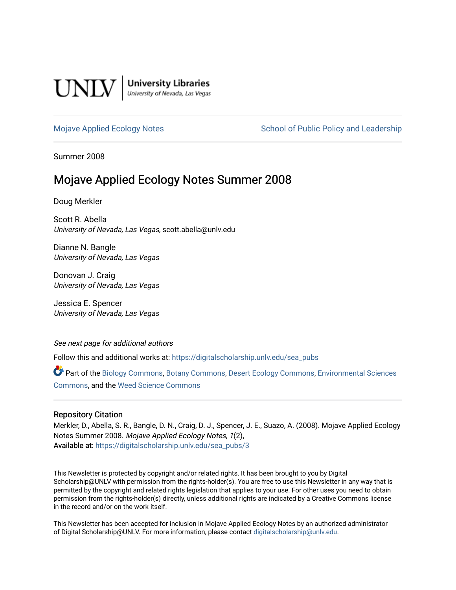

**University Libraries**<br>University of Nevada, Las Vegas

### [Mojave Applied Ecology Notes](https://digitalscholarship.unlv.edu/sea_pubs) School of Public Policy and Leadership

Summer 2008

## Mojave Applied Ecology Notes Summer 2008

Doug Merkler

Scott R. Abella University of Nevada, Las Vegas, scott.abella@unlv.edu

Dianne N. Bangle University of Nevada, Las Vegas

Donovan J. Craig University of Nevada, Las Vegas

Jessica E. Spencer University of Nevada, Las Vegas

See next page for additional authors

Follow this and additional works at: [https://digitalscholarship.unlv.edu/sea\\_pubs](https://digitalscholarship.unlv.edu/sea_pubs?utm_source=digitalscholarship.unlv.edu%2Fsea_pubs%2F3&utm_medium=PDF&utm_campaign=PDFCoverPages) 

Part of the [Biology Commons,](http://network.bepress.com/hgg/discipline/41?utm_source=digitalscholarship.unlv.edu%2Fsea_pubs%2F3&utm_medium=PDF&utm_campaign=PDFCoverPages) [Botany Commons,](http://network.bepress.com/hgg/discipline/104?utm_source=digitalscholarship.unlv.edu%2Fsea_pubs%2F3&utm_medium=PDF&utm_campaign=PDFCoverPages) [Desert Ecology Commons](http://network.bepress.com/hgg/discipline/1261?utm_source=digitalscholarship.unlv.edu%2Fsea_pubs%2F3&utm_medium=PDF&utm_campaign=PDFCoverPages), [Environmental Sciences](http://network.bepress.com/hgg/discipline/167?utm_source=digitalscholarship.unlv.edu%2Fsea_pubs%2F3&utm_medium=PDF&utm_campaign=PDFCoverPages)  [Commons](http://network.bepress.com/hgg/discipline/167?utm_source=digitalscholarship.unlv.edu%2Fsea_pubs%2F3&utm_medium=PDF&utm_campaign=PDFCoverPages), and the [Weed Science Commons](http://network.bepress.com/hgg/discipline/1267?utm_source=digitalscholarship.unlv.edu%2Fsea_pubs%2F3&utm_medium=PDF&utm_campaign=PDFCoverPages)

### Repository Citation

Merkler, D., Abella, S. R., Bangle, D. N., Craig, D. J., Spencer, J. E., Suazo, A. (2008). Mojave Applied Ecology Notes Summer 2008. Mojave Applied Ecology Notes, 1(2), Available at: [https://digitalscholarship.unlv.edu/sea\\_pubs/3](https://digitalscholarship.unlv.edu/sea_pubs/3) 

This Newsletter is protected by copyright and/or related rights. It has been brought to you by Digital Scholarship@UNLV with permission from the rights-holder(s). You are free to use this Newsletter in any way that is permitted by the copyright and related rights legislation that applies to your use. For other uses you need to obtain permission from the rights-holder(s) directly, unless additional rights are indicated by a Creative Commons license in the record and/or on the work itself.

This Newsletter has been accepted for inclusion in Mojave Applied Ecology Notes by an authorized administrator of Digital Scholarship@UNLV. For more information, please contact [digitalscholarship@unlv.edu.](mailto:digitalscholarship@unlv.edu)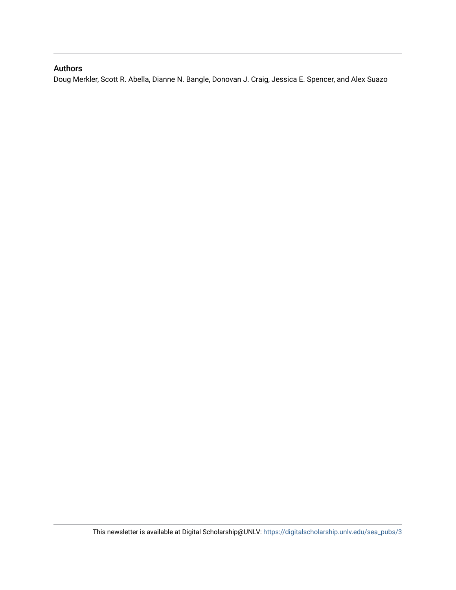## Authors

Doug Merkler, Scott R. Abella, Dianne N. Bangle, Donovan J. Craig, Jessica E. Spencer, and Alex Suazo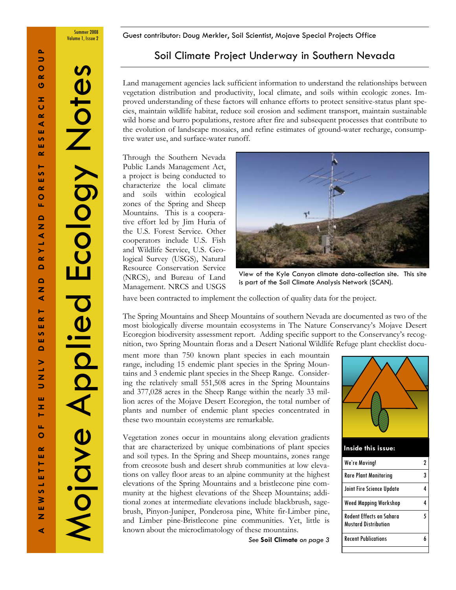Summer 2008

Volume 1, Issue 2 **Guest contributor: Doug Merkler, Soil Scientist**, Mojave Special Projects Office

## Soil Climate Project Underway in Southern Nevada

Land management agencies lack sufficient information to understand the relationships between vegetation distribution and productivity, local climate, and soils within ecologic zones. Improved understanding of these factors will enhance efforts to protect sensitive-status plant species, maintain wildlife habitat, reduce soil erosion and sediment transport, maintain sustainable wild horse and burro populations, restore after fire and subsequent processes that contribute to the evolution of landscape mosaics, and refine estimates of ground-water recharge, consumptive water use, and surface-water runoff.

Through the Southern Nevada Public Lands Management Act, a project is being conducted to characterize the local climate and soils within ecological zones of the Spring and Sheep Mountains. This is a cooperative effort led by Jim Huria of the U.S. Forest Service. Other cooperators include U.S. Fish and Wildlife Service, U.S. Geological Survey (USGS), Natural Resource Conservation Service (NRCS), and Bureau of Land Management. NRCS and USGS



View of the Kyle Canyon climate data-collection site. This site is part of the Soil Climate Analysis Network (SCAN).

have been contracted to implement the collection of quality data for the project.

The Spring Mountains and Sheep Mountains of southern Nevada are documented as two of the most biologically diverse mountain ecosystems in The Nature Conservancy's Mojave Desert Ecoregion biodiversity assessment report. Adding specific support to the Conservancy's recognition, two Spring Mountain floras and a Desert National Wildlife Refuge plant checklist docu-

ment more than 750 known plant species in each mountain range, including 15 endemic plant species in the Spring Mountains and 3 endemic plant species in the Sheep Range. Considering the relatively small 551,508 acres in the Spring Mountains and 377,028 acres in the Sheep Range within the nearly 33 million acres of the Mojave Desert Ecoregion, the total number of plants and number of endemic plant species concentrated in these two mountain ecosystems are remarkable.

Vegetation zones occur in mountains along elevation gradients that are characterized by unique combinations of plant species and soil types. In the Spring and Sheep mountains, zones range from creosote bush and desert shrub communities at low elevations on valley floor areas to an alpine community at the highest elevations of the Spring Mountains and a bristlecone pine community at the highest elevations of the Sheep Mountains; additional zones at intermediate elevations include blackbrush, sagebrush, Pinyon-Juniper, Ponderosa pine, White fir-Limber pine, and Limber pine-Bristlecone pine communities. Yet, little is known about the microclimatology of these mountains.

See Soil Climate on page 3



#### Inside this issue:

| We're Moving!                                                  |  |
|----------------------------------------------------------------|--|
| <b>Rare Plant Monitoring</b>                                   |  |
| Joint Fire Science Update                                      |  |
| <b>Weed Mapping Workshop</b>                                   |  |
| <b>Rodent Effects on Sahara</b><br><b>Mustard Distribution</b> |  |
| <b>Recent Publications</b>                                     |  |
|                                                                |  |

Mojave Applied Ecology Notes

Mojave Aplied

Ecology Note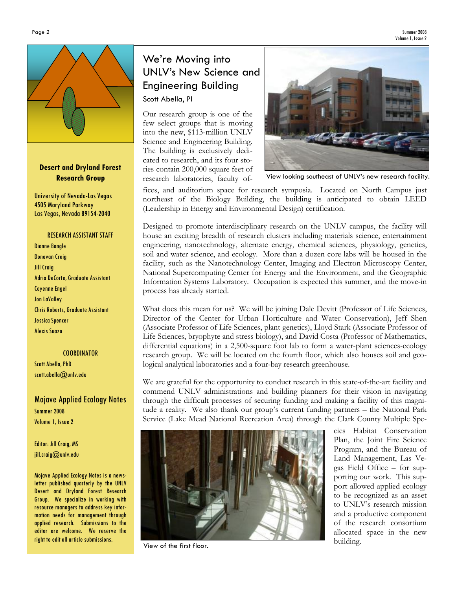Summer 2008 Volume 1, Issue 2



## Desert and Dryland Forest Research Group

University of Nevada-Las Vegas 4505 Maryland Parkway Las Vegas, Nevada 89154-2040

#### RESEARCH ASSISTANT STAFF

Dianne Bangle Donovan Craig Jill Craig Adria DeCorte, Graduate Assistant Cayenne Engel Jon LaValley Chris Roberts, Graduate Assistant Jessica Spencer Alexis Suazo

## **COORDINATOR**

Scott Abella, PhD scott.abella@unlv.edu

## Mojave Applied Ecology Notes Summer 2008 Volume 1, Issue 2

### Editor: Jill Craig, MS jill.craig@unlv.edu

Mojave Applied Ecology Notes is a newsletter published quarterly by the UNLV Desert and Dryland Forest Research Group. We specialize in working with resource managers to address key information needs for management through applied research. Submissions to the editor are welcome. We reserve the right to edit all article submissions.

## We're Moving into UNLV's New Science and Engineering Building Scott Abella, PI

Our research group is one of the few select groups that is moving into the new, \$113-million UNLV Science and Engineering Building. The building is exclusively dedicated to research, and its four stories contain 200,000 square feet of research laboratories, faculty of-



View looking southeast of UNLV's new research facility.

fices, and auditorium space for research symposia. Located on North Campus just northeast of the Biology Building, the building is anticipated to obtain LEED (Leadership in Energy and Environmental Design) certification.

Designed to promote interdisciplinary research on the UNLV campus, the facility will house an exciting breadth of research clusters including materials science, entertainment engineering, nanotechnology, alternate energy, chemical sciences, physiology, genetics, soil and water science, and ecology. More than a dozen core labs will be housed in the facility, such as the Nanotechnology Center, Imaging and Electron Microscopy Center, National Supercomputing Center for Energy and the Environment, and the Geographic Information Systems Laboratory. Occupation is expected this summer, and the move-in process has already started.

What does this mean for us? We will be joining Dale Devitt (Professor of Life Sciences, Director of the Center for Urban Horticulture and Water Conservation), Jeff Shen (Associate Professor of Life Sciences, plant genetics), Lloyd Stark (Associate Professor of Life Sciences, bryophyte and stress biology), and David Costa (Professor of Mathematics, differential equations) in a 2,500-square foot lab to form a water-plant sciences-ecology research group. We will be located on the fourth floor, which also houses soil and geological analytical laboratories and a four-bay research greenhouse.

We are grateful for the opportunity to conduct research in this state-of-the-art facility and commend UNLV administrations and building planners for their vision in navigating through the difficult processes of securing funding and making a facility of this magnitude a reality. We also thank our group's current funding partners – the National Park Service (Lake Mead National Recreation Area) through the Clark County Multiple Spe-



View of the first floor.

cies Habitat Conservation Plan, the Joint Fire Science Program, and the Bureau of Land Management, Las Vegas Field Office – for supporting our work. This support allowed applied ecology to be recognized as an asset to UNLV's research mission and a productive component of the research consortium allocated space in the new building.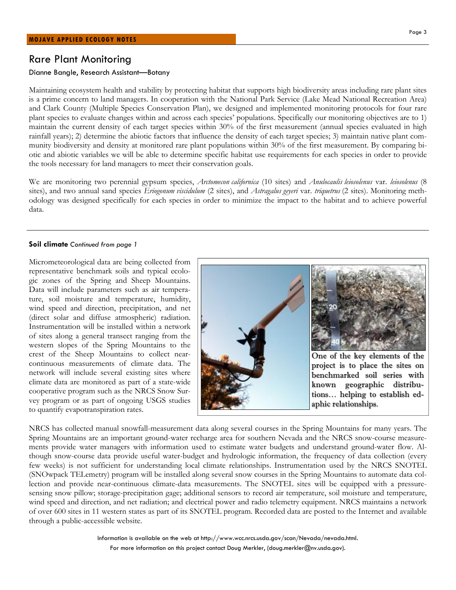## Rare Plant Monitoring

#### Dianne Bangle, Research Assistant—Botany

Maintaining ecosystem health and stability by protecting habitat that supports high biodiversity areas including rare plant sites is a prime concern to land managers. In cooperation with the National Park Service (Lake Mead National Recreation Area) and Clark County (Multiple Species Conservation Plan), we designed and implemented monitoring protocols for four rare plant species to evaluate changes within and across each species' populations. Specifically our monitoring objectives are to 1) maintain the current density of each target species within 30% of the first measurement (annual species evaluated in high rainfall years); 2) determine the abiotic factors that influence the density of each target species; 3) maintain native plant community biodiversity and density at monitored rare plant populations within 30% of the first measurement. By comparing biotic and abiotic variables we will be able to determine specific habitat use requirements for each species in order to provide the tools necessary for land managers to meet their conservation goals.

We are monitoring two perennial gypsum species, Arctomecon californica (10 sites) and Anulocaulis leiosolenus var. leiosolenus (8 sites), and two annual sand species Eriogonum viscidulum (2 sites), and Astragalus geyeri var. triquetrus (2 sites). Monitoring methodology was designed specifically for each species in order to minimize the impact to the habitat and to achieve powerful data.

#### Soil climate Continued from page 1

Micrometeorological data are being collected from representative benchmark soils and typical ecologic zones of the Spring and Sheep Mountains. Data will include parameters such as air temperature, soil moisture and temperature, humidity, wind speed and direction, precipitation, and net (direct solar and diffuse atmospheric) radiation. Instrumentation will be installed within a network of sites along a general transect ranging from the western slopes of the Spring Mountains to the crest of the Sheep Mountains to collect nearcontinuous measurements of climate data. The network will include several existing sites where climate data are monitored as part of a state-wide cooperative program such as the NRCS Snow Survey program or as part of ongoing USGS studies to quantify evapotranspiration rates.



NRCS has collected manual snowfall-measurement data along several courses in the Spring Mountains for many years. The Spring Mountains are an important ground-water recharge area for southern Nevada and the NRCS snow-course measurements provide water managers with information used to estimate water budgets and understand ground-water flow. Although snow-course data provide useful water-budget and hydrologic information, the frequency of data collection (every few weeks) is not sufficient for understanding local climate relationships. Instrumentation used by the NRCS SNOTEL (SNOwpack TELemetry) program will be installed along several snow courses in the Spring Mountains to automate data collection and provide near-continuous climate-data measurements. The SNOTEL sites will be equipped with a pressuresensing snow pillow; storage-precipitation gage; additional sensors to record air temperature, soil moisture and temperature, wind speed and direction, and net radiation; and electrical power and radio telemetry equipment. NRCS maintains a network of over 600 sites in 11 western states as part of its SNOTEL program. Recorded data are posted to the Internet and available through a public-accessible website.

> Information is available on the web at http://www.wcc.nrcs.usda.gov/scan/Nevada/nevada.html. For more information on this project contact Doug Merkler, (doug.merkler@nv.usda.gov).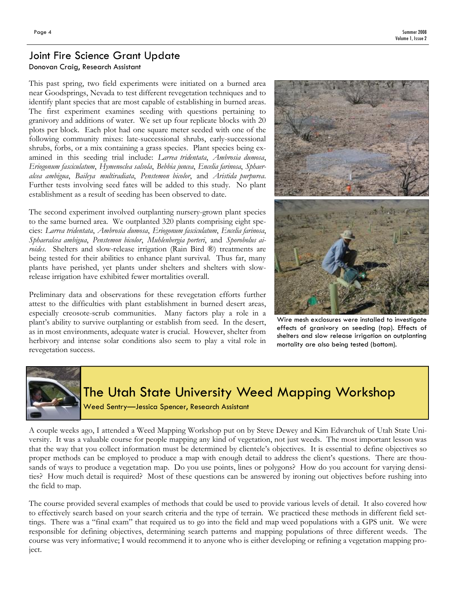## Joint Fire Science Grant Update

## Donovan Craig, Research Assistant

This past spring, two field experiments were initiated on a burned area near Goodsprings, Nevada to test different revegetation techniques and to identify plant species that are most capable of establishing in burned areas. The first experiment examines seeding with questions pertaining to granivory and additions of water. We set up four replicate blocks with 20 plots per block. Each plot had one square meter seeded with one of the following community mixes: late-successional shrubs, early-successional shrubs, forbs, or a mix containing a grass species. Plant species being examined in this seeding trial include: Larrea tridentata, Ambrosia dumosa, Eriogonum fasciculatum, Hymenoclea salsola, Bebbia juncea, Encelia farinosa, Sphaeralcea ambigua, Baileya multiradiata, Penstemon bicolor, and Aristida purpurea. Further tests involving seed fates will be added to this study. No plant establishment as a result of seeding has been observed to date.

The second experiment involved outplanting nursery-grown plant species to the same burned area. We outplanted 320 plants comprising eight species: Larrea tridentata, Ambrosia dumosa, Eriogonum fasciculatum, Encelia farinosa, Sphaeralcea ambigua, Penstemon bicolor, Muhlenbergia porteri, and Sporobolus airoides. Shelters and slow-release irrigation (Rain Bird ®) treatments are being tested for their abilities to enhance plant survival. Thus far, many plants have perished, yet plants under shelters and shelters with slowrelease irrigation have exhibited fewer mortalities overall.

Preliminary data and observations for these revegetation efforts further attest to the difficulties with plant establishment in burned desert areas, especially creosote-scrub communities. Many factors play a role in a plant's ability to survive outplanting or establish from seed. In the desert, as in most environments, adequate water is crucial. However, shelter from herbivory and intense solar conditions also seem to play a vital role in revegetation success.



Wire mesh exclosures were installed to investigate effects of granivory on seeding (top). Effects of shelters and slow release irrigation on outplanting mortality are also being tested (bottom).



# The Utah State University Weed Mapping Workshop

Weed Sentry—Jessica Spencer, Research Assistant

A couple weeks ago, I attended a Weed Mapping Workshop put on by Steve Dewey and Kim Edvarchuk of Utah State University. It was a valuable course for people mapping any kind of vegetation, not just weeds. The most important lesson was that the way that you collect information must be determined by clientele's objectives. It is essential to define objectives so proper methods can be employed to produce a map with enough detail to address the client's questions. There are thousands of ways to produce a vegetation map. Do you use points, lines or polygons? How do you account for varying densities? How much detail is required? Most of these questions can be answered by ironing out objectives before rushing into the field to map.

The course provided several examples of methods that could be used to provide various levels of detail. It also covered how to effectively search based on your search criteria and the type of terrain. We practiced these methods in different field settings. There was a "final exam" that required us to go into the field and map weed populations with a GPS unit. We were responsible for defining objectives, determining search patterns and mapping populations of three different weeds. The course was very informative; I would recommend it to anyone who is either developing or refining a vegetation mapping project.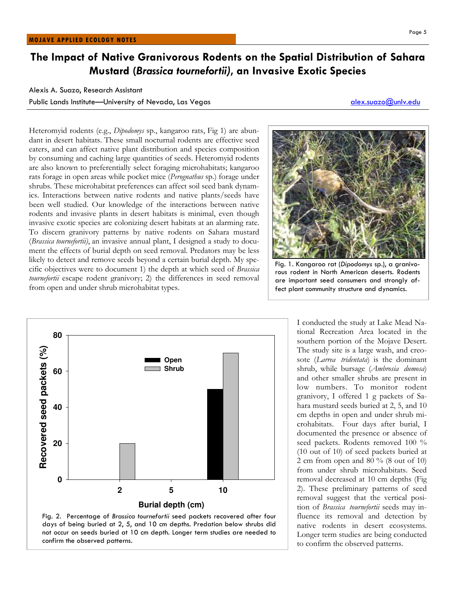## The Impact of Native Granivorous Rodents on the Spatial Distribution of Sahara Mustard (Brassica tournefortii), an Invasive Exotic Species

### Alexis A. Suazo, Research Assistant

Public Lands Institute—University of Nevada, Las Vegas alex.suazo@unlv.edu alex.suazo@unlv.edu

Heteromyid rodents (e.g., Dipodomys sp., kangaroo rats, Fig 1) are abundant in desert habitats. These small nocturnal rodents are effective seed eaters, and can affect native plant distribution and species composition by consuming and caching large quantities of seeds. Heteromyid rodents are also known to preferentially select foraging microhabitats; kangaroo rats forage in open areas while pocket mice (*Perognathus* sp.) forage under shrubs. These microhabitat preferences can affect soil seed bank dynamics. Interactions between native rodents and native plants/seeds have been well studied. Our knowledge of the interactions between native rodents and invasive plants in desert habitats is minimal, even though invasive exotic species are colonizing desert habitats at an alarming rate. To discern granivory patterns by native rodents on Sahara mustard (Brassica tournefortii), an invasive annual plant, I designed a study to document the effects of burial depth on seed removal. Predators may be less likely to detect and remove seeds beyond a certain burial depth. My specific objectives were to document 1) the depth at which seed of Brassica tournefortii escape rodent granivory; 2) the differences in seed removal from open and under shrub microhabitat types.





I conducted the study at Lake Mead National Recreation Area located in the southern portion of the Mojave Desert. The study site is a large wash, and creosote (Larrea tridentata) is the dominant shrub, while bursage (Ambrosia dumosa) and other smaller shrubs are present in low numbers. To monitor rodent granivory, I offered 1 g packets of Sahara mustard seeds buried at 2, 5, and 10 cm depths in open and under shrub microhabitats. Four days after burial, I documented the presence or absence of seed packets. Rodents removed 100 % (10 out of 10) of seed packets buried at 2 cm from open and 80 % (8 out of 10) from under shrub microhabitats. Seed removal decreased at 10 cm depths (Fig 2). These preliminary patterns of seed removal suggest that the vertical position of Brassica tournefortii seeds may influence its removal and detection by native rodents in desert ecosystems. Longer term studies are being conducted to confirm the observed patterns.



Fig. 1. Kangaroo rat (Dipodomys sp.), a granivorous rodent in North American deserts. Rodents are important seed consumers and strongly affect plant community structure and dynamics.